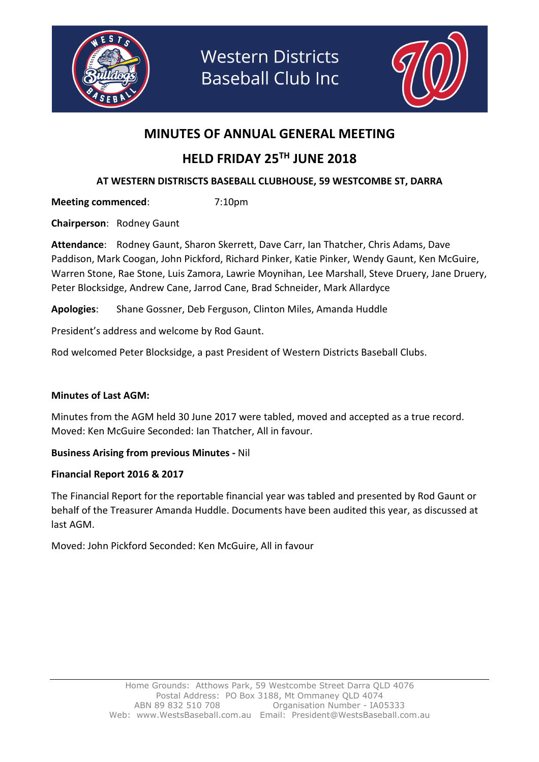

**Western Districts Baseball Club Inc** 



### MINUTES OF ANNUAL GENERAL MEETING

## HELD FRIDAY 25TH JUNE 2018

#### AT WESTERN DISTRISCTS BASEBALL CLUBHOUSE, 59 WESTCOMBE ST, DARRA

Meeting commenced: 7:10pm

Chairperson: Rodney Gaunt

Attendance: Rodney Gaunt, Sharon Skerrett, Dave Carr, Ian Thatcher, Chris Adams, Dave Paddison, Mark Coogan, John Pickford, Richard Pinker, Katie Pinker, Wendy Gaunt, Ken McGuire, Warren Stone, Rae Stone, Luis Zamora, Lawrie Moynihan, Lee Marshall, Steve Druery, Jane Druery, Peter Blocksidge, Andrew Cane, Jarrod Cane, Brad Schneider, Mark Allardyce

Apologies: Shane Gossner, Deb Ferguson, Clinton Miles, Amanda Huddle

President's address and welcome by Rod Gaunt.

Rod welcomed Peter Blocksidge, a past President of Western Districts Baseball Clubs.

#### Minutes of Last AGM:

Minutes from the AGM held 30 June 2017 were tabled, moved and accepted as a true record. Moved: Ken McGuire Seconded: Ian Thatcher, All in favour.

#### Business Arising from previous Minutes - Nil

#### Financial Report 2016 & 2017

The Financial Report for the reportable financial year was tabled and presented by Rod Gaunt or behalf of the Treasurer Amanda Huddle. Documents have been audited this year, as discussed at last AGM.

Moved: John Pickford Seconded: Ken McGuire, All in favour